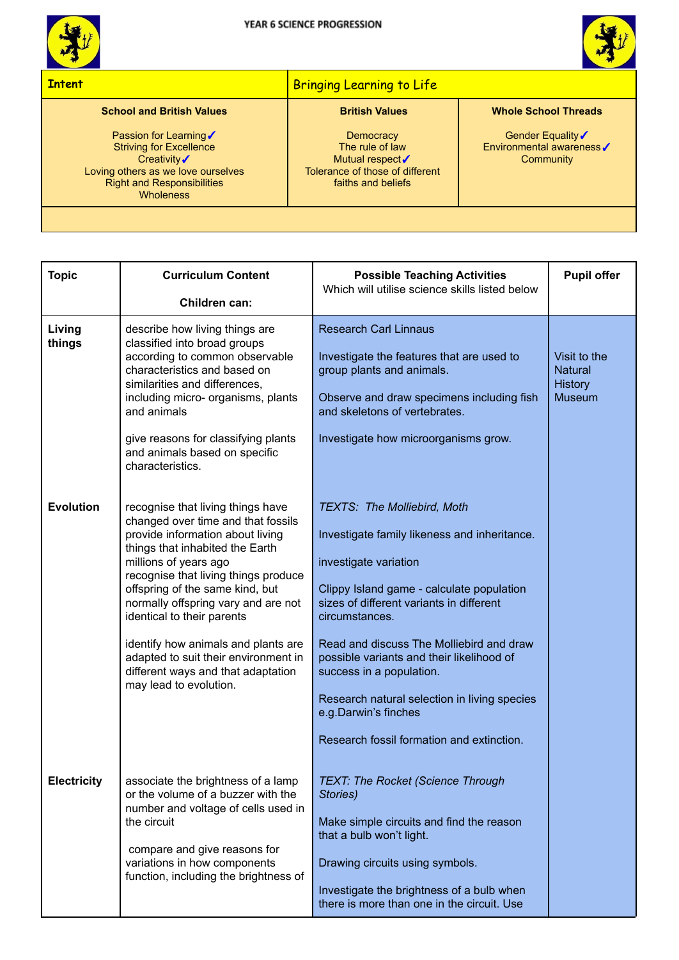



## **Intent** Bringing Learning to Life **School and British Values** Passion for Learning√ Striving for Excellence Creativity√ Loving others as we love ourselves Right and Responsibilities **Wholeness British Values Democracy** The rule of law Mutual respect√ Tolerance of those of different faiths and beliefs **Whole School Threads** Gender Equality√ Environmental awareness✓ **Community**

| <b>Topic</b>       | <b>Curriculum Content</b><br>Children can:                                                                                                                                                                                                                                                                                                                                                                                                                             | <b>Possible Teaching Activities</b><br>Which will utilise science skills listed below                                                                                                                                                                                                                                                                                                                                                                            | <b>Pupil offer</b> |  |
|--------------------|------------------------------------------------------------------------------------------------------------------------------------------------------------------------------------------------------------------------------------------------------------------------------------------------------------------------------------------------------------------------------------------------------------------------------------------------------------------------|------------------------------------------------------------------------------------------------------------------------------------------------------------------------------------------------------------------------------------------------------------------------------------------------------------------------------------------------------------------------------------------------------------------------------------------------------------------|--------------------|--|
| Living<br>things   | describe how living things are<br>classified into broad groups<br>according to common observable<br>characteristics and based on<br>similarities and differences,<br>including micro- organisms, plants<br>and animals<br>give reasons for classifying plants<br>and animals based on specific<br>characteristics.                                                                                                                                                     | <b>Research Carl Linnaus</b><br>Visit to the<br>Investigate the features that are used to<br>group plants and animals.<br><b>Natural</b><br><b>History</b><br>Observe and draw specimens including fish<br><b>Museum</b><br>and skeletons of vertebrates.<br>Investigate how microorganisms grow.                                                                                                                                                                |                    |  |
| <b>Evolution</b>   | recognise that living things have<br>changed over time and that fossils<br>provide information about living<br>things that inhabited the Earth<br>millions of years ago<br>recognise that living things produce<br>offspring of the same kind, but<br>normally offspring vary and are not<br>identical to their parents<br>identify how animals and plants are<br>adapted to suit their environment in<br>different ways and that adaptation<br>may lead to evolution. | <b>TEXTS: The Molliebird, Moth</b><br>Investigate family likeness and inheritance.<br>investigate variation<br>Clippy Island game - calculate population<br>sizes of different variants in different<br>circumstances.<br>Read and discuss The Molliebird and draw<br>possible variants and their likelihood of<br>success in a population.<br>Research natural selection in living species<br>e.g.Darwin's finches<br>Research fossil formation and extinction. |                    |  |
| <b>Electricity</b> | associate the brightness of a lamp<br>or the volume of a buzzer with the<br>number and voltage of cells used in<br>the circuit<br>compare and give reasons for<br>variations in how components<br>function, including the brightness of                                                                                                                                                                                                                                | <b>TEXT: The Rocket (Science Through</b><br>Stories)<br>Make simple circuits and find the reason<br>that a bulb won't light.<br>Drawing circuits using symbols.<br>Investigate the brightness of a bulb when<br>there is more than one in the circuit. Use                                                                                                                                                                                                       |                    |  |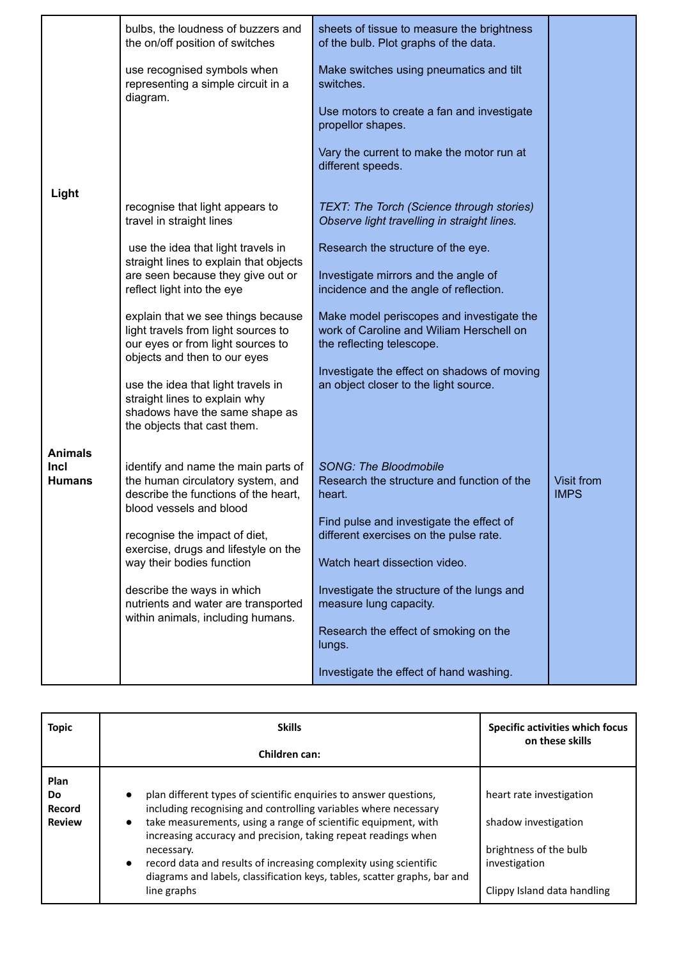|                       | bulbs, the loudness of buzzers and<br>the on/off position of switches<br>use recognised symbols when<br>representing a simple circuit in a<br>diagram. | sheets of tissue to measure the brightness<br>of the bulb. Plot graphs of the data.<br>Make switches using pneumatics and tilt<br>switches.<br>Use motors to create a fan and investigate |                                  |
|-----------------------|--------------------------------------------------------------------------------------------------------------------------------------------------------|-------------------------------------------------------------------------------------------------------------------------------------------------------------------------------------------|----------------------------------|
| Light                 |                                                                                                                                                        | propellor shapes.<br>Vary the current to make the motor run at<br>different speeds.                                                                                                       |                                  |
|                       | recognise that light appears to<br>travel in straight lines                                                                                            | <b>TEXT: The Torch (Science through stories)</b><br>Observe light travelling in straight lines.                                                                                           |                                  |
|                       | use the idea that light travels in<br>straight lines to explain that objects<br>are seen because they give out or<br>reflect light into the eye        | Research the structure of the eye.<br>Investigate mirrors and the angle of<br>incidence and the angle of reflection.                                                                      |                                  |
|                       | explain that we see things because<br>light travels from light sources to<br>our eyes or from light sources to<br>objects and then to our eyes         | Make model periscopes and investigate the<br>work of Caroline and Wiliam Herschell on<br>the reflecting telescope.                                                                        |                                  |
|                       | use the idea that light travels in<br>straight lines to explain why<br>shadows have the same shape as<br>the objects that cast them.                   | Investigate the effect on shadows of moving<br>an object closer to the light source.                                                                                                      |                                  |
| <b>Animals</b>        |                                                                                                                                                        |                                                                                                                                                                                           |                                  |
| Incl<br><b>Humans</b> | identify and name the main parts of<br>the human circulatory system, and<br>describe the functions of the heart,<br>blood vessels and blood            | <b>SONG: The Bloodmobile</b><br>Research the structure and function of the<br>heart.<br>Find pulse and investigate the effect of                                                          | <b>Visit from</b><br><b>IMPS</b> |
|                       | recognise the impact of diet,<br>exercise, drugs and lifestyle on the                                                                                  | different exercises on the pulse rate.                                                                                                                                                    |                                  |
|                       | way their bodies function                                                                                                                              | Watch heart dissection video.                                                                                                                                                             |                                  |
|                       | describe the ways in which<br>nutrients and water are transported<br>within animals, including humans.                                                 | Investigate the structure of the lungs and<br>measure lung capacity.                                                                                                                      |                                  |
|                       |                                                                                                                                                        | Research the effect of smoking on the<br>lungs.                                                                                                                                           |                                  |
|                       |                                                                                                                                                        | Investigate the effect of hand washing.                                                                                                                                                   |                                  |
|                       |                                                                                                                                                        |                                                                                                                                                                                           |                                  |

| <b>Topic</b>                          | <b>Skills</b><br>Children can:                                                                                                                                                                                                                                                                                                                                                                                                                                                    | Specific activities which focus<br>on these skills                                                                         |
|---------------------------------------|-----------------------------------------------------------------------------------------------------------------------------------------------------------------------------------------------------------------------------------------------------------------------------------------------------------------------------------------------------------------------------------------------------------------------------------------------------------------------------------|----------------------------------------------------------------------------------------------------------------------------|
| Plan<br>Do<br>Record<br><b>Review</b> | plan different types of scientific enquiries to answer questions,<br>including recognising and controlling variables where necessary<br>take measurements, using a range of scientific equipment, with<br>$\bullet$<br>increasing accuracy and precision, taking repeat readings when<br>necessary.<br>record data and results of increasing complexity using scientific<br>$\bullet$<br>diagrams and labels, classification keys, tables, scatter graphs, bar and<br>line graphs | heart rate investigation<br>shadow investigation<br>brightness of the bulb<br>investigation<br>Clippy Island data handling |